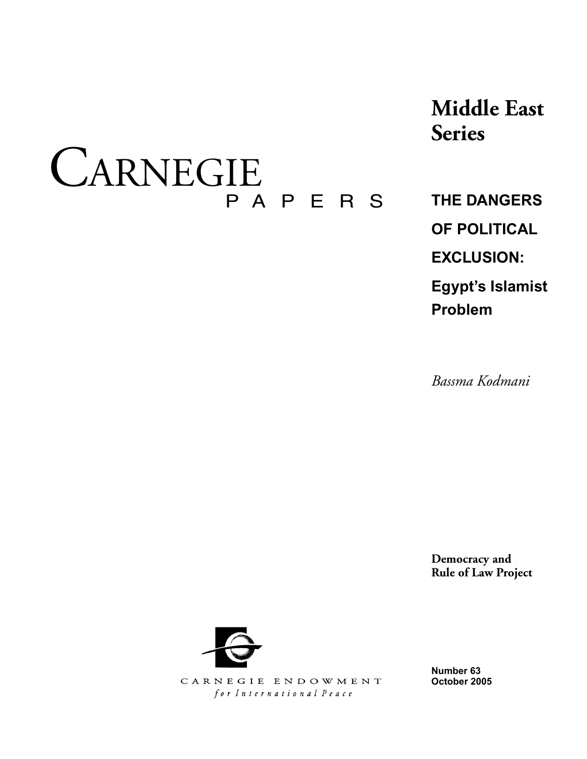# CARNEGIE P A P E R S

**Middle East Series**

**THE DANGERS OF POLITICAL EXCLUSION: Egypt's Islamist** 

*Bassma Kodmani*

**Problem**

**Democracy and Rule of Law Project**



CARNEGIE ENDOWMENT for International Peace

**Number 63 October 2005**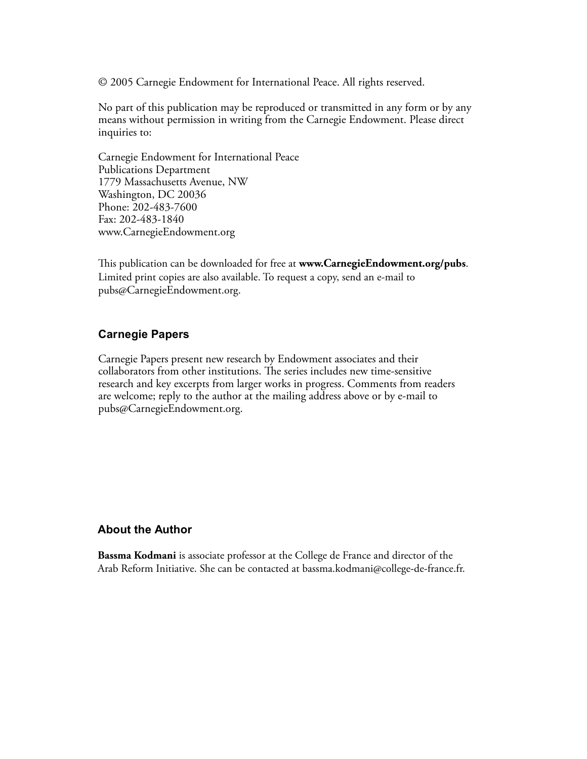© 2005 Carnegie Endowment for International Peace. All rights reserved.

No part of this publication may be reproduced or transmitted in any form or by any means without permission in writing from the Carnegie Endowment. Please direct inquiries to:

Carnegie Endowment for International Peace Publications Department 1779 Massachusetts Avenue, NW Washington, DC 20036 Phone: 202-483-7600 Fax: 202-483-1840 www.CarnegieEndowment.org

This publication can be downloaded for free at **www.CarnegieEndowment.org/pubs**. Limited print copies are also available. To request a copy, send an e-mail to pubs@CarnegieEndowment.org.

## **Carnegie Papers**

Carnegie Papers present new research by Endowment associates and their collaborators from other institutions. The series includes new time-sensitive research and key excerpts from larger works in progress. Comments from readers are welcome; reply to the author at the mailing address above or by e-mail to pubs@CarnegieEndowment.org.

## **About the Author**

**Bassma Kodmani** is associate professor at the College de France and director of the Arab Reform Initiative. She can be contacted at bassma.kodmani@college-de-france.fr.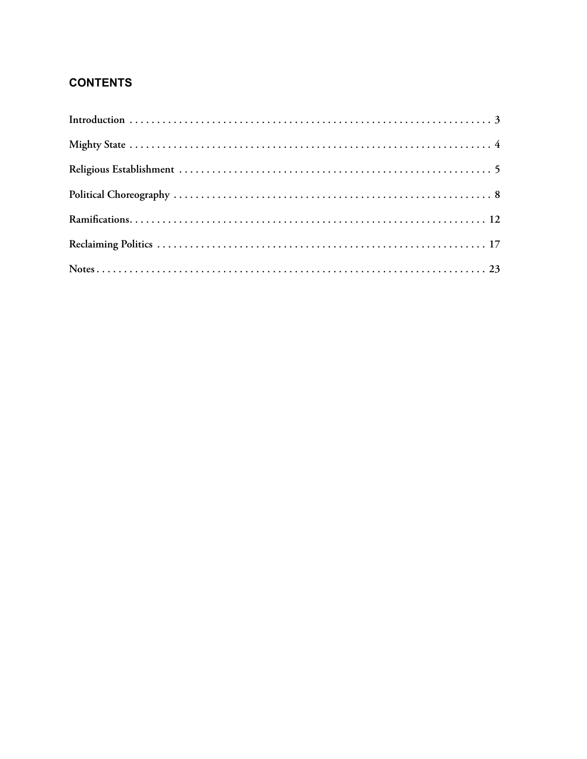# **CONTENTS**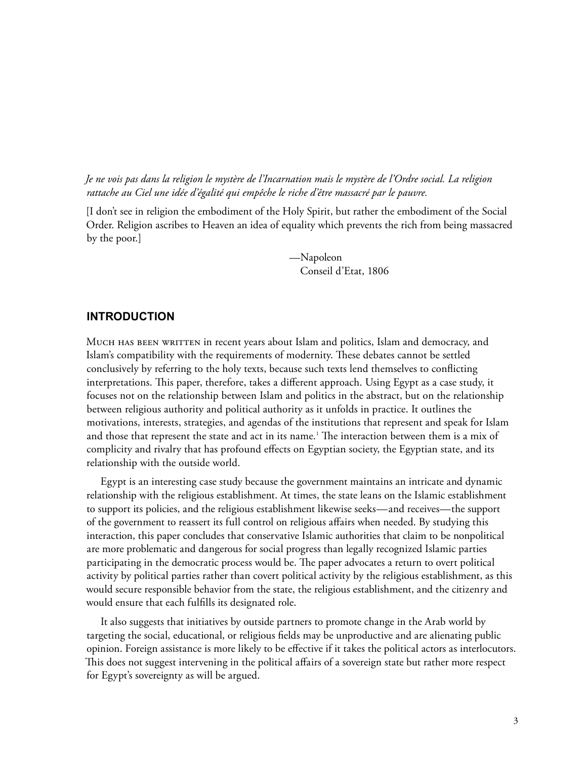*Je ne vois pas dans la religion le mystère de l'Incarnation mais le mystère de l'Ordre social. La religion rattache au Ciel une idée d'égalité qui empêche le riche d'être massacré par le pauvre.*

[I don't see in religion the embodiment of the Holy Spirit, but rather the embodiment of the Social Order. Religion ascribes to Heaven an idea of equality which prevents the rich from being massacred by the poor.]

> —Napoleon Conseil d'Etat, 1806

## **INTRODUCTION**

MUCH HAS BEEN WRITTEN in recent years about Islam and politics, Islam and democracy, and Islam's compatibility with the requirements of modernity. These debates cannot be settled conclusively by referring to the holy texts, because such texts lend themselves to conflicting interpretations. This paper, therefore, takes a different approach. Using Egypt as a case study, it focuses not on the relationship between Islam and politics in the abstract, but on the relationship between religious authority and political authority as it unfolds in practice. It outlines the motivations, interests, strategies, and agendas of the institutions that represent and speak for Islam and those that represent the state and act in its name. $^{\rm t}$  The interaction between them is a mix of complicity and rivalry that has profound effects on Egyptian society, the Egyptian state, and its relationship with the outside world.

Egypt is an interesting case study because the government maintains an intricate and dynamic relationship with the religious establishment. At times, the state leans on the Islamic establishment to support its policies, and the religious establishment likewise seeks—and receives—the support of the government to reassert its full control on religious affairs when needed. By studying this interaction, this paper concludes that conservative Islamic authorities that claim to be nonpolitical are more problematic and dangerous for social progress than legally recognized Islamic parties participating in the democratic process would be. The paper advocates a return to overt political activity by political parties rather than covert political activity by the religious establishment, as this would secure responsible behavior from the state, the religious establishment, and the citizenry and would ensure that each fulfills its designated role.

It also suggests that initiatives by outside partners to promote change in the Arab world by targeting the social, educational, or religious fields may be unproductive and are alienating public opinion. Foreign assistance is more likely to be effective if it takes the political actors as interlocutors. This does not suggest intervening in the political affairs of a sovereign state but rather more respect for Egypt's sovereignty as will be argued.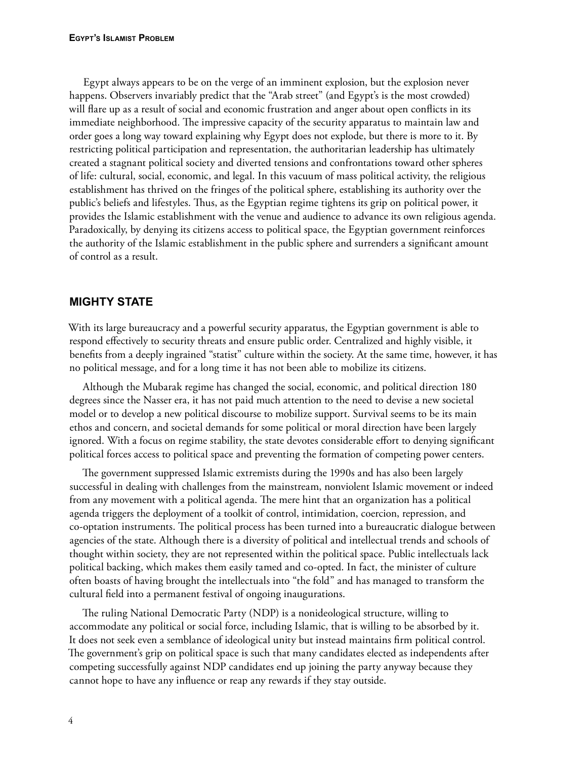Egypt always appears to be on the verge of an imminent explosion, but the explosion never happens. Observers invariably predict that the "Arab street" (and Egypt's is the most crowded) will flare up as a result of social and economic frustration and anger about open conflicts in its immediate neighborhood. The impressive capacity of the security apparatus to maintain law and order goes a long way toward explaining why Egypt does not explode, but there is more to it. By restricting political participation and representation, the authoritarian leadership has ultimately created a stagnant political society and diverted tensions and confrontations toward other spheres of life: cultural, social, economic, and legal. In this vacuum of mass political activity, the religious establishment has thrived on the fringes of the political sphere, establishing its authority over the public's beliefs and lifestyles. Thus, as the Egyptian regime tightens its grip on political power, it provides the Islamic establishment with the venue and audience to advance its own religious agenda. Paradoxically, by denying its citizens access to political space, the Egyptian government reinforces the authority of the Islamic establishment in the public sphere and surrenders a significant amount of control as a result.

# **MIGHTY STATE**

With its large bureaucracy and a powerful security apparatus, the Egyptian government is able to respond effectively to security threats and ensure public order. Centralized and highly visible, it benefits from a deeply ingrained "statist" culture within the society. At the same time, however, it has no political message, and for a long time it has not been able to mobilize its citizens.

Although the Mubarak regime has changed the social, economic, and political direction 180 degrees since the Nasser era, it has not paid much attention to the need to devise a new societal model or to develop a new political discourse to mobilize support. Survival seems to be its main ethos and concern, and societal demands for some political or moral direction have been largely ignored. With a focus on regime stability, the state devotes considerable effort to denying significant political forces access to political space and preventing the formation of competing power centers.

The government suppressed Islamic extremists during the 1990s and has also been largely successful in dealing with challenges from the mainstream, nonviolent Islamic movement or indeed from any movement with a political agenda. The mere hint that an organization has a political agenda triggers the deployment of a toolkit of control, intimidation, coercion, repression, and co-optation instruments. The political process has been turned into a bureaucratic dialogue between agencies of the state. Although there is a diversity of political and intellectual trends and schools of thought within society, they are not represented within the political space. Public intellectuals lack political backing, which makes them easily tamed and co-opted. In fact, the minister of culture often boasts of having brought the intellectuals into "the fold" and has managed to transform the cultural field into a permanent festival of ongoing inaugurations.

The ruling National Democratic Party (NDP) is a nonideological structure, willing to accommodate any political or social force, including Islamic, that is willing to be absorbed by it. It does not seek even a semblance of ideological unity but instead maintains firm political control. The government's grip on political space is such that many candidates elected as independents after competing successfully against NDP candidates end up joining the party anyway because they cannot hope to have any influence or reap any rewards if they stay outside.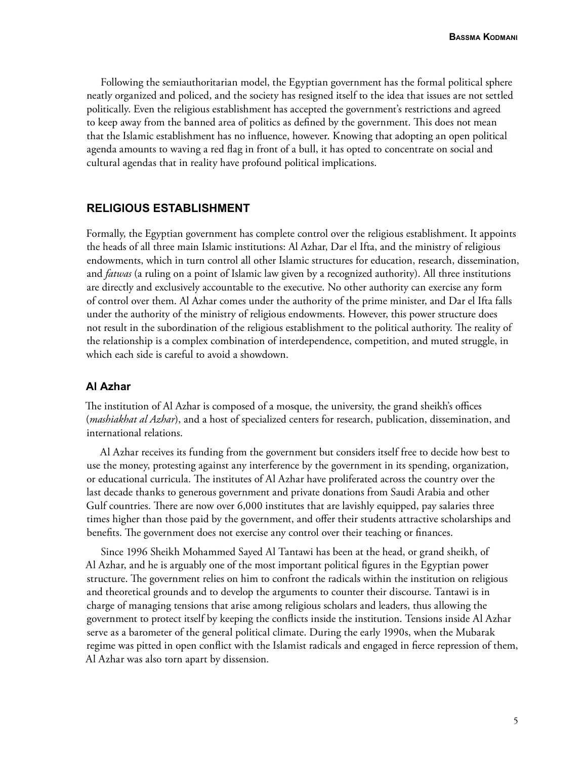Following the semiauthoritarian model, the Egyptian government has the formal political sphere neatly organized and policed, and the society has resigned itself to the idea that issues are not settled politically. Even the religious establishment has accepted the government's restrictions and agreed to keep away from the banned area of politics as defined by the government. This does not mean that the Islamic establishment has no influence, however. Knowing that adopting an open political agenda amounts to waving a red flag in front of a bull, it has opted to concentrate on social and cultural agendas that in reality have profound political implications.

## **RELIGIOUS ESTABLISHMENT**

Formally, the Egyptian government has complete control over the religious establishment. It appoints the heads of all three main Islamic institutions: Al Azhar, Dar el Ifta, and the ministry of religious endowments, which in turn control all other Islamic structures for education, research, dissemination, and *fatwas* (a ruling on a point of Islamic law given by a recognized authority). All three institutions are directly and exclusively accountable to the executive. No other authority can exercise any form of control over them. Al Azhar comes under the authority of the prime minister, and Dar el Ifta falls under the authority of the ministry of religious endowments. However, this power structure does not result in the subordination of the religious establishment to the political authority. The reality of the relationship is a complex combination of interdependence, competition, and muted struggle, in which each side is careful to avoid a showdown.

### **Al Azhar**

The institution of Al Azhar is composed of a mosque, the university, the grand sheikh's offices (*mashiakhat al Azhar*), and a host of specialized centers for research, publication, dissemination, and international relations.

Al Azhar receives its funding from the government but considers itself free to decide how best to use the money, protesting against any interference by the government in its spending, organization, or educational curricula. The institutes of Al Azhar have proliferated across the country over the last decade thanks to generous government and private donations from Saudi Arabia and other Gulf countries. There are now over 6,000 institutes that are lavishly equipped, pay salaries three times higher than those paid by the government, and offer their students attractive scholarships and benefits. The government does not exercise any control over their teaching or finances.

Since 1996 Sheikh Mohammed Sayed Al Tantawi has been at the head, or grand sheikh, of Al Azhar, and he is arguably one of the most important political figures in the Egyptian power structure. The government relies on him to confront the radicals within the institution on religious and theoretical grounds and to develop the arguments to counter their discourse. Tantawi is in charge of managing tensions that arise among religious scholars and leaders, thus allowing the government to protect itself by keeping the conflicts inside the institution. Tensions inside Al Azhar serve as a barometer of the general political climate. During the early 1990s, when the Mubarak regime was pitted in open conflict with the Islamist radicals and engaged in fierce repression of them, Al Azhar was also torn apart by dissension.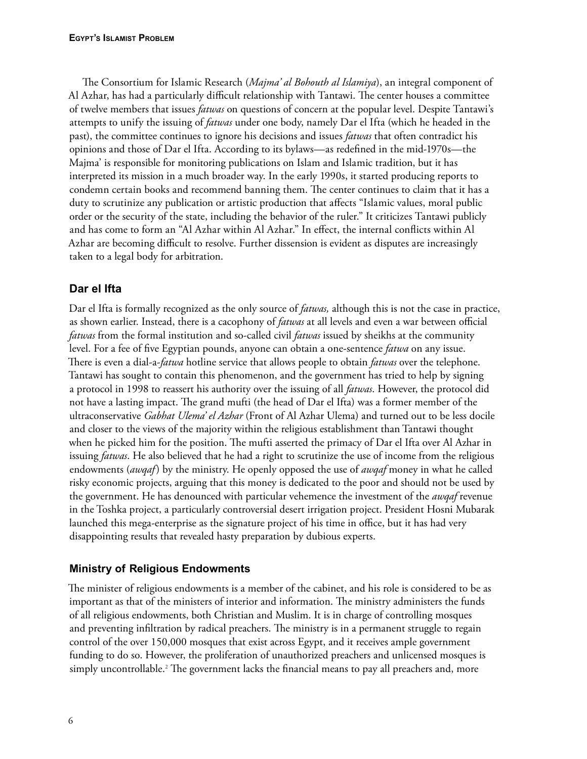The Consortium for Islamic Research (*Majma' al Bohouth al Islamiya*), an integral component of Al Azhar, has had a particularly difficult relationship with Tantawi. The center houses a committee of twelve members that issues *fatwas* on questions of concern at the popular level. Despite Tantawi's attempts to unify the issuing of *fatwas* under one body, namely Dar el Ifta (which he headed in the past), the committee continues to ignore his decisions and issues *fatwas* that often contradict his opinions and those of Dar el Ifta. According to its bylaws—as redefined in the mid-1970s—the Majma' is responsible for monitoring publications on Islam and Islamic tradition, but it has interpreted its mission in a much broader way. In the early 1990s, it started producing reports to condemn certain books and recommend banning them. The center continues to claim that it has a duty to scrutinize any publication or artistic production that affects "Islamic values, moral public order or the security of the state, including the behavior of the ruler." It criticizes Tantawi publicly and has come to form an "Al Azhar within Al Azhar." In effect, the internal conflicts within Al Azhar are becoming difficult to resolve. Further dissension is evident as disputes are increasingly taken to a legal body for arbitration.

# **Dar el Ifta**

Dar el Ifta is formally recognized as the only source of *fatwas,* although this is not the case in practice, as shown earlier. Instead, there is a cacophony of *fatwas* at all levels and even a war between official *fatwas* from the formal institution and so-called civil *fatwas* issued by sheikhs at the community level. For a fee of five Egyptian pounds, anyone can obtain a one-sentence *fatwa* on any issue. There is even a dial-a-*fatwa* hotline service that allows people to obtain *fatwas* over the telephone. Tantawi has sought to contain this phenomenon, and the government has tried to help by signing a protocol in 1998 to reassert his authority over the issuing of all *fatwas*. However, the protocol did not have a lasting impact. The grand mufti (the head of Dar el Ifta) was a former member of the ultraconservative *Gabhat Ulema' el Azhar* (Front of Al Azhar Ulema) and turned out to be less docile and closer to the views of the majority within the religious establishment than Tantawi thought when he picked him for the position. The mufti asserted the primacy of Dar el Ifta over Al Azhar in issuing *fatwas*. He also believed that he had a right to scrutinize the use of income from the religious endowments (*awqaf*) by the ministry. He openly opposed the use of *awqaf* money in what he called risky economic projects, arguing that this money is dedicated to the poor and should not be used by the government. He has denounced with particular vehemence the investment of the *awqaf* revenue in the Toshka project, a particularly controversial desert irrigation project. President Hosni Mubarak launched this mega-enterprise as the signature project of his time in office, but it has had very disappointing results that revealed hasty preparation by dubious experts.

# **Ministry of Religious Endowments**

The minister of religious endowments is a member of the cabinet, and his role is considered to be as important as that of the ministers of interior and information. The ministry administers the funds of all religious endowments, both Christian and Muslim. It is in charge of controlling mosques and preventing infiltration by radical preachers. The ministry is in a permanent struggle to regain control of the over 150,000 mosques that exist across Egypt, and it receives ample government funding to do so. However, the proliferation of unauthorized preachers and unlicensed mosques is simply uncontrollable.2 The government lacks the financial means to pay all preachers and, more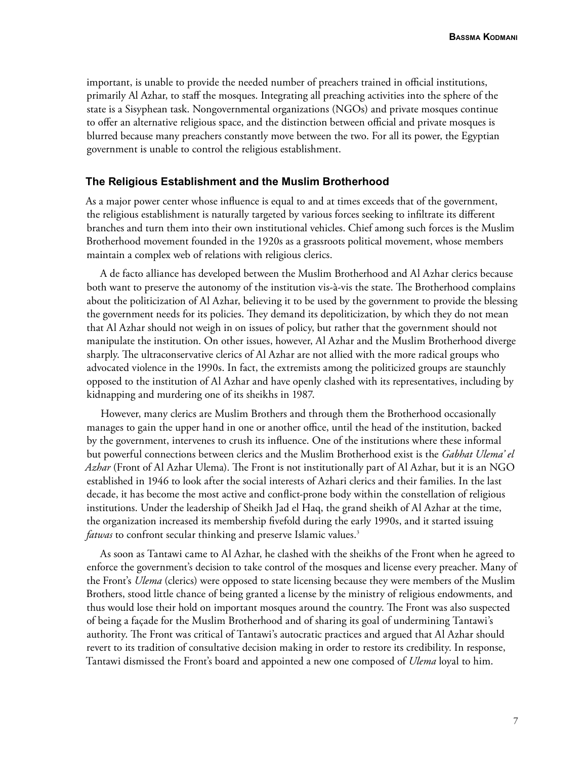important, is unable to provide the needed number of preachers trained in official institutions, primarily Al Azhar, to staff the mosques. Integrating all preaching activities into the sphere of the state is a Sisyphean task. Nongovernmental organizations (NGOs) and private mosques continue to offer an alternative religious space, and the distinction between official and private mosques is blurred because many preachers constantly move between the two. For all its power, the Egyptian government is unable to control the religious establishment.

## **The Religious Establishment and the Muslim Brotherhood**

As a major power center whose influence is equal to and at times exceeds that of the government, the religious establishment is naturally targeted by various forces seeking to infiltrate its different branches and turn them into their own institutional vehicles. Chief among such forces is the Muslim Brotherhood movement founded in the 1920s as a grassroots political movement, whose members maintain a complex web of relations with religious clerics.

A de facto alliance has developed between the Muslim Brotherhood and Al Azhar clerics because both want to preserve the autonomy of the institution vis-à-vis the state. The Brotherhood complains about the politicization of Al Azhar, believing it to be used by the government to provide the blessing the government needs for its policies. They demand its depoliticization, by which they do not mean that Al Azhar should not weigh in on issues of policy, but rather that the government should not manipulate the institution. On other issues, however, Al Azhar and the Muslim Brotherhood diverge sharply. The ultraconservative clerics of Al Azhar are not allied with the more radical groups who advocated violence in the 1990s. In fact, the extremists among the politicized groups are staunchly opposed to the institution of Al Azhar and have openly clashed with its representatives, including by kidnapping and murdering one of its sheikhs in 1987.

However, many clerics are Muslim Brothers and through them the Brotherhood occasionally manages to gain the upper hand in one or another office, until the head of the institution, backed by the government, intervenes to crush its influence. One of the institutions where these informal but powerful connections between clerics and the Muslim Brotherhood exist is the *Gabhat Ulema' el Azhar* (Front of Al Azhar Ulema). The Front is not institutionally part of Al Azhar, but it is an NGO established in 1946 to look after the social interests of Azhari clerics and their families. In the last decade, it has become the most active and conflict-prone body within the constellation of religious institutions. Under the leadership of Sheikh Jad el Haq, the grand sheikh of Al Azhar at the time, the organization increased its membership fivefold during the early 1990s, and it started issuing *fatwas* to confront secular thinking and preserve Islamic values.<sup>3</sup>

As soon as Tantawi came to Al Azhar, he clashed with the sheikhs of the Front when he agreed to enforce the government's decision to take control of the mosques and license every preacher. Many of the Front's *Ulema* (clerics) were opposed to state licensing because they were members of the Muslim Brothers, stood little chance of being granted a license by the ministry of religious endowments, and thus would lose their hold on important mosques around the country. The Front was also suspected of being a façade for the Muslim Brotherhood and of sharing its goal of undermining Tantawi's authority. The Front was critical of Tantawi's autocratic practices and argued that Al Azhar should revert to its tradition of consultative decision making in order to restore its credibility. In response, Tantawi dismissed the Front's board and appointed a new one composed of *Ulema* loyal to him.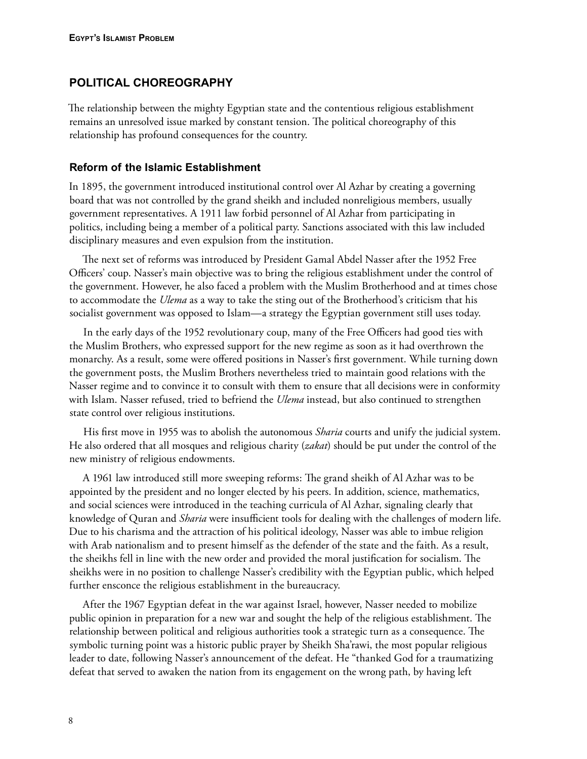# **POLITICAL CHOREOGRAPHY**

The relationship between the mighty Egyptian state and the contentious religious establishment remains an unresolved issue marked by constant tension. The political choreography of this relationship has profound consequences for the country.

## **Reform of the Islamic Establishment**

In 1895, the government introduced institutional control over Al Azhar by creating a governing board that was not controlled by the grand sheikh and included nonreligious members, usually government representatives. A 1911 law forbid personnel of Al Azhar from participating in politics, including being a member of a political party. Sanctions associated with this law included disciplinary measures and even expulsion from the institution.

The next set of reforms was introduced by President Gamal Abdel Nasser after the 1952 Free Officers' coup. Nasser's main objective was to bring the religious establishment under the control of the government. However, he also faced a problem with the Muslim Brotherhood and at times chose to accommodate the *Ulema* as a way to take the sting out of the Brotherhood's criticism that his socialist government was opposed to Islam—a strategy the Egyptian government still uses today.

In the early days of the 1952 revolutionary coup, many of the Free Officers had good ties with the Muslim Brothers, who expressed support for the new regime as soon as it had overthrown the monarchy. As a result, some were offered positions in Nasser's first government. While turning down the government posts, the Muslim Brothers nevertheless tried to maintain good relations with the Nasser regime and to convince it to consult with them to ensure that all decisions were in conformity with Islam. Nasser refused, tried to befriend the *Ulema* instead, but also continued to strengthen state control over religious institutions.

His first move in 1955 was to abolish the autonomous *Sharia* courts and unify the judicial system. He also ordered that all mosques and religious charity (*zakat*) should be put under the control of the new ministry of religious endowments.

A 1961 law introduced still more sweeping reforms: The grand sheikh of Al Azhar was to be appointed by the president and no longer elected by his peers. In addition, science, mathematics, and social sciences were introduced in the teaching curricula of Al Azhar, signaling clearly that knowledge of Quran and *Sharia* were insufficient tools for dealing with the challenges of modern life. Due to his charisma and the attraction of his political ideology, Nasser was able to imbue religion with Arab nationalism and to present himself as the defender of the state and the faith. As a result, the sheikhs fell in line with the new order and provided the moral justification for socialism. The sheikhs were in no position to challenge Nasser's credibility with the Egyptian public, which helped further ensconce the religious establishment in the bureaucracy.

After the 1967 Egyptian defeat in the war against Israel, however, Nasser needed to mobilize public opinion in preparation for a new war and sought the help of the religious establishment. The relationship between political and religious authorities took a strategic turn as a consequence. The symbolic turning point was a historic public prayer by Sheikh Sha'rawi, the most popular religious leader to date, following Nasser's announcement of the defeat. He "thanked God for a traumatizing defeat that served to awaken the nation from its engagement on the wrong path, by having left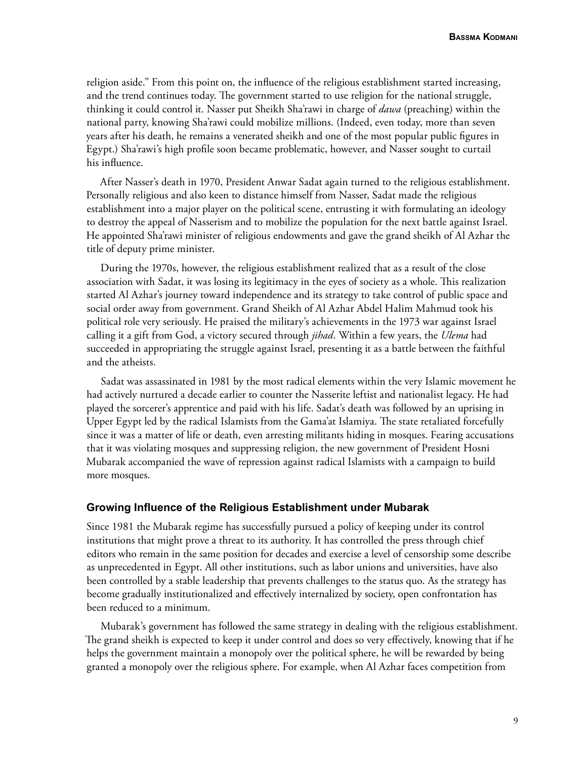religion aside." From this point on, the influence of the religious establishment started increasing, and the trend continues today. The government started to use religion for the national struggle, thinking it could control it. Nasser put Sheikh Sha'rawi in charge of *dawa* (preaching) within the national party, knowing Sha'rawi could mobilize millions. (Indeed, even today, more than seven years after his death, he remains a venerated sheikh and one of the most popular public figures in Egypt.) Sha'rawi's high profile soon became problematic, however, and Nasser sought to curtail his influence.

After Nasser's death in 1970, President Anwar Sadat again turned to the religious establishment. Personally religious and also keen to distance himself from Nasser, Sadat made the religious establishment into a major player on the political scene, entrusting it with formulating an ideology to destroy the appeal of Nasserism and to mobilize the population for the next battle against Israel. He appointed Sha'rawi minister of religious endowments and gave the grand sheikh of Al Azhar the title of deputy prime minister.

During the 1970s, however, the religious establishment realized that as a result of the close association with Sadat, it was losing its legitimacy in the eyes of society as a whole. This realization started Al Azhar's journey toward independence and its strategy to take control of public space and social order away from government. Grand Sheikh of Al Azhar Abdel Halim Mahmud took his political role very seriously. He praised the military's achievements in the 1973 war against Israel calling it a gift from God, a victory secured through *jihad*. Within a few years, the *Ulema* had succeeded in appropriating the struggle against Israel, presenting it as a battle between the faithful and the atheists.

Sadat was assassinated in 1981 by the most radical elements within the very Islamic movement he had actively nurtured a decade earlier to counter the Nasserite leftist and nationalist legacy. He had played the sorcerer's apprentice and paid with his life. Sadat's death was followed by an uprising in Upper Egypt led by the radical Islamists from the Gama'at Islamiya. The state retaliated forcefully since it was a matter of life or death, even arresting militants hiding in mosques. Fearing accusations that it was violating mosques and suppressing religion, the new government of President Hosni Mubarak accompanied the wave of repression against radical Islamists with a campaign to build more mosques.

## **Growing Influence of the Religious Establishment under Mubarak**

Since 1981 the Mubarak regime has successfully pursued a policy of keeping under its control institutions that might prove a threat to its authority. It has controlled the press through chief editors who remain in the same position for decades and exercise a level of censorship some describe as unprecedented in Egypt. All other institutions, such as labor unions and universities, have also been controlled by a stable leadership that prevents challenges to the status quo. As the strategy has become gradually institutionalized and effectively internalized by society, open confrontation has been reduced to a minimum.

Mubarak's government has followed the same strategy in dealing with the religious establishment. The grand sheikh is expected to keep it under control and does so very effectively, knowing that if he helps the government maintain a monopoly over the political sphere, he will be rewarded by being granted a monopoly over the religious sphere. For example, when Al Azhar faces competition from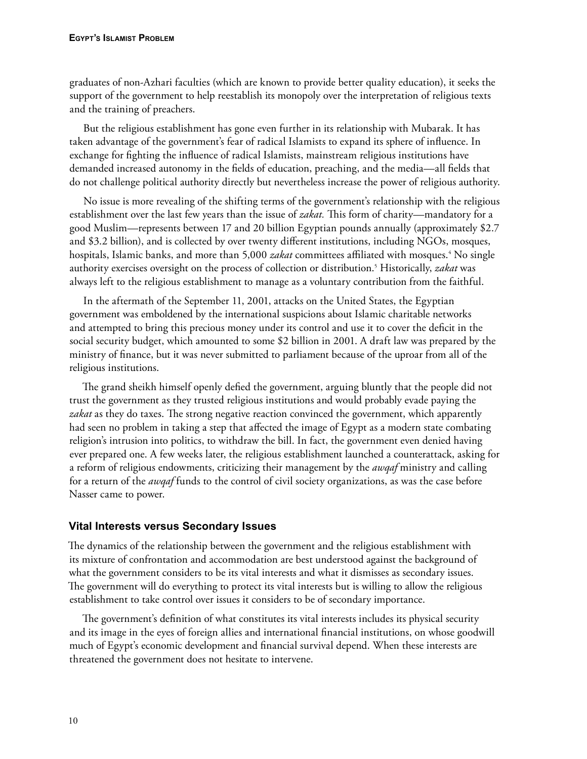graduates of non-Azhari faculties (which are known to provide better quality education), it seeks the support of the government to help reestablish its monopoly over the interpretation of religious texts and the training of preachers.

But the religious establishment has gone even further in its relationship with Mubarak. It has taken advantage of the government's fear of radical Islamists to expand its sphere of influence. In exchange for fighting the influence of radical Islamists, mainstream religious institutions have demanded increased autonomy in the fields of education, preaching, and the media—all fields that do not challenge political authority directly but nevertheless increase the power of religious authority.

No issue is more revealing of the shifting terms of the government's relationship with the religious establishment over the last few years than the issue of *zakat.* This form of charity—mandatory for a good Muslim—represents between 17 and 20 billion Egyptian pounds annually (approximately \$2.7 and \$3.2 billion), and is collected by over twenty different institutions, including NGOs, mosques, hospitals, Islamic banks, and more than 5,000 *zakat* committees affiliated with mosques.<sup>4</sup> No single authority exercises oversight on the process of collection or distribution.5 Historically, *zakat* was always left to the religious establishment to manage as a voluntary contribution from the faithful.

In the aftermath of the September 11, 2001, attacks on the United States, the Egyptian government was emboldened by the international suspicions about Islamic charitable networks and attempted to bring this precious money under its control and use it to cover the deficit in the social security budget, which amounted to some \$2 billion in 2001. A draft law was prepared by the ministry of finance, but it was never submitted to parliament because of the uproar from all of the religious institutions.

The grand sheikh himself openly defied the government, arguing bluntly that the people did not trust the government as they trusted religious institutions and would probably evade paying the *zakat* as they do taxes. The strong negative reaction convinced the government, which apparently had seen no problem in taking a step that affected the image of Egypt as a modern state combating religion's intrusion into politics, to withdraw the bill. In fact, the government even denied having ever prepared one. A few weeks later, the religious establishment launched a counterattack, asking for a reform of religious endowments, criticizing their management by the *awqaf* ministry and calling for a return of the *awqaf* funds to the control of civil society organizations, as was the case before Nasser came to power.

# **Vital Interests versus Secondary Issues**

The dynamics of the relationship between the government and the religious establishment with its mixture of confrontation and accommodation are best understood against the background of what the government considers to be its vital interests and what it dismisses as secondary issues. The government will do everything to protect its vital interests but is willing to allow the religious establishment to take control over issues it considers to be of secondary importance.

The government's definition of what constitutes its vital interests includes its physical security and its image in the eyes of foreign allies and international financial institutions, on whose goodwill much of Egypt's economic development and financial survival depend. When these interests are threatened the government does not hesitate to intervene.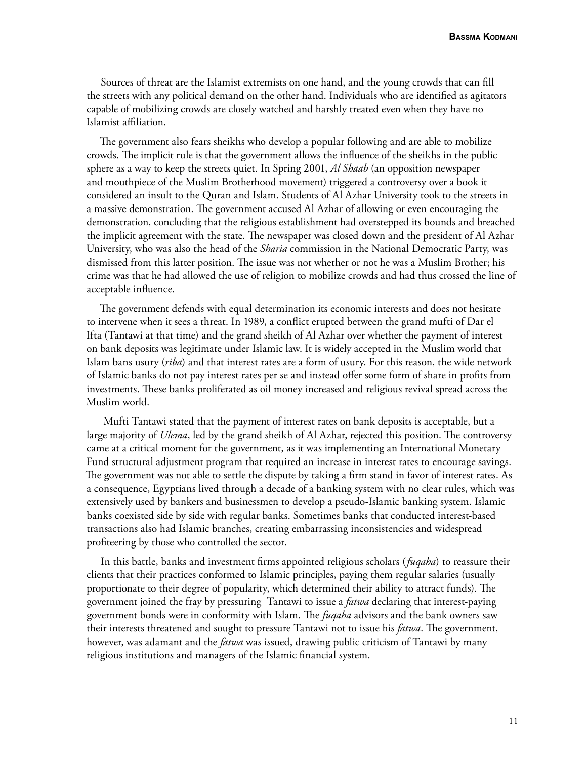Sources of threat are the Islamist extremists on one hand, and the young crowds that can fill the streets with any political demand on the other hand. Individuals who are identified as agitators capable of mobilizing crowds are closely watched and harshly treated even when they have no Islamist affiliation.

The government also fears sheikhs who develop a popular following and are able to mobilize crowds. The implicit rule is that the government allows the influence of the sheikhs in the public sphere as a way to keep the streets quiet. In Spring 2001, *Al Shaab* (an opposition newspaper and mouthpiece of the Muslim Brotherhood movement) triggered a controversy over a book it considered an insult to the Quran and Islam. Students of Al Azhar University took to the streets in a massive demonstration. The government accused Al Azhar of allowing or even encouraging the demonstration, concluding that the religious establishment had overstepped its bounds and breached the implicit agreement with the state. The newspaper was closed down and the president of Al Azhar University, who was also the head of the *Sharia* commission in the National Democratic Party, was dismissed from this latter position. The issue was not whether or not he was a Muslim Brother; his crime was that he had allowed the use of religion to mobilize crowds and had thus crossed the line of acceptable influence.

The government defends with equal determination its economic interests and does not hesitate to intervene when it sees a threat. In 1989, a conflict erupted between the grand mufti of Dar el Ifta (Tantawi at that time) and the grand sheikh of Al Azhar over whether the payment of interest on bank deposits was legitimate under Islamic law. It is widely accepted in the Muslim world that Islam bans usury (*riba*) and that interest rates are a form of usury. For this reason, the wide network of Islamic banks do not pay interest rates per se and instead offer some form of share in profits from investments. These banks proliferated as oil money increased and religious revival spread across the Muslim world.

 Mufti Tantawi stated that the payment of interest rates on bank deposits is acceptable, but a large majority of *Ulema*, led by the grand sheikh of Al Azhar, rejected this position. The controversy came at a critical moment for the government, as it was implementing an International Monetary Fund structural adjustment program that required an increase in interest rates to encourage savings. The government was not able to settle the dispute by taking a firm stand in favor of interest rates. As a consequence, Egyptians lived through a decade of a banking system with no clear rules, which was extensively used by bankers and businessmen to develop a pseudo-Islamic banking system. Islamic banks coexisted side by side with regular banks. Sometimes banks that conducted interest-based transactions also had Islamic branches, creating embarrassing inconsistencies and widespread profiteering by those who controlled the sector.

In this battle, banks and investment firms appointed religious scholars (*fuqaha*) to reassure their clients that their practices conformed to Islamic principles, paying them regular salaries (usually proportionate to their degree of popularity, which determined their ability to attract funds). The government joined the fray by pressuring Tantawi to issue a *fatwa* declaring that interest-paying government bonds were in conformity with Islam. The *fuqaha* advisors and the bank owners saw their interests threatened and sought to pressure Tantawi not to issue his *fatwa*. The government, however, was adamant and the *fatwa* was issued, drawing public criticism of Tantawi by many religious institutions and managers of the Islamic financial system.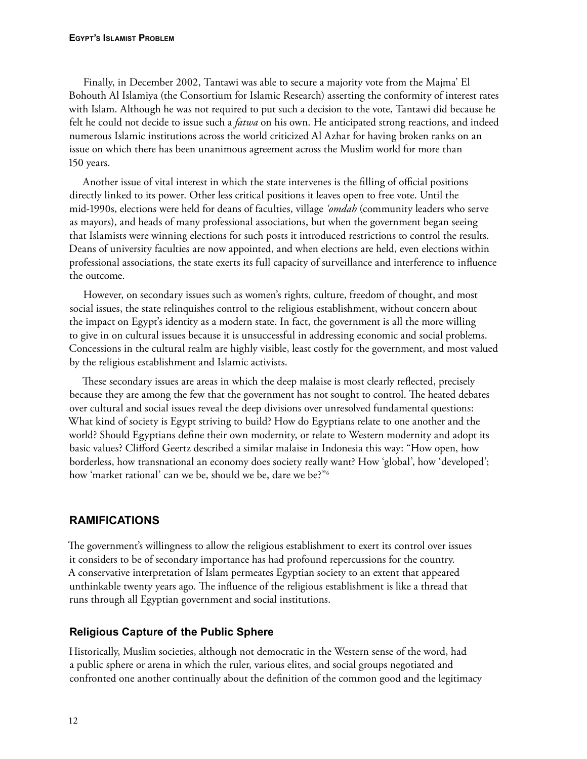Finally, in December 2002, Tantawi was able to secure a majority vote from the Majma' El Bohouth Al Islamiya (the Consortium for Islamic Research) asserting the conformity of interest rates with Islam. Although he was not required to put such a decision to the vote, Tantawi did because he felt he could not decide to issue such a *fatwa* on his own. He anticipated strong reactions, and indeed numerous Islamic institutions across the world criticized Al Azhar for having broken ranks on an issue on which there has been unanimous agreement across the Muslim world for more than 150 years.

Another issue of vital interest in which the state intervenes is the filling of official positions directly linked to its power. Other less critical positions it leaves open to free vote. Until the mid-1990s, elections were held for deans of faculties, village *'omdah* (community leaders who serve as mayors), and heads of many professional associations, but when the government began seeing that Islamists were winning elections for such posts it introduced restrictions to control the results. Deans of university faculties are now appointed, and when elections are held, even elections within professional associations, the state exerts its full capacity of surveillance and interference to influence the outcome.

However, on secondary issues such as women's rights, culture, freedom of thought, and most social issues, the state relinquishes control to the religious establishment, without concern about the impact on Egypt's identity as a modern state. In fact, the government is all the more willing to give in on cultural issues because it is unsuccessful in addressing economic and social problems. Concessions in the cultural realm are highly visible, least costly for the government, and most valued by the religious establishment and Islamic activists.

These secondary issues are areas in which the deep malaise is most clearly reflected, precisely because they are among the few that the government has not sought to control. The heated debates over cultural and social issues reveal the deep divisions over unresolved fundamental questions: What kind of society is Egypt striving to build? How do Egyptians relate to one another and the world? Should Egyptians define their own modernity, or relate to Western modernity and adopt its basic values? Clifford Geertz described a similar malaise in Indonesia this way: "How open, how borderless, how transnational an economy does society really want? How 'global', how 'developed'; how 'market rational' can we be, should we be, dare we be?"<sup>6</sup>

# **RAMIFICATIONS**

The government's willingness to allow the religious establishment to exert its control over issues it considers to be of secondary importance has had profound repercussions for the country. A conservative interpretation of Islam permeates Egyptian society to an extent that appeared unthinkable twenty years ago. The influence of the religious establishment is like a thread that runs through all Egyptian government and social institutions.

# **Religious Capture of the Public Sphere**

Historically, Muslim societies, although not democratic in the Western sense of the word, had a public sphere or arena in which the ruler, various elites, and social groups negotiated and confronted one another continually about the definition of the common good and the legitimacy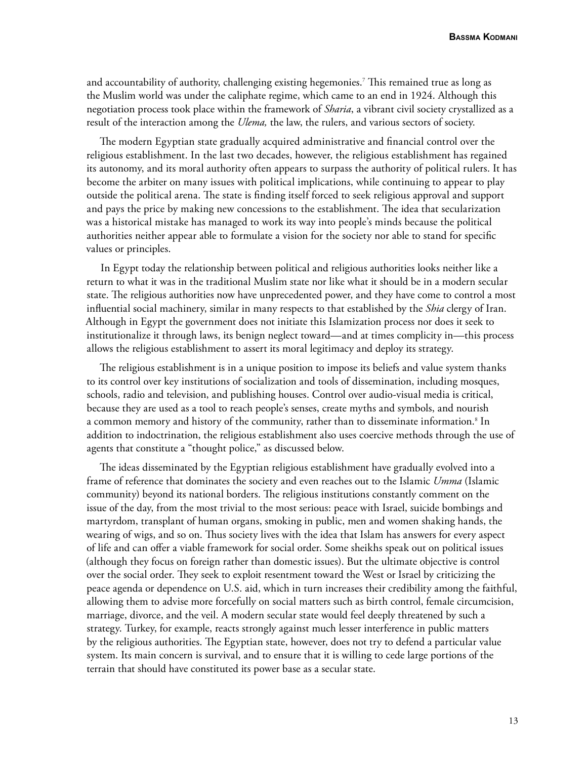and accountability of authority, challenging existing hegemonies.7 This remained true as long as the Muslim world was under the caliphate regime, which came to an end in 1924. Although this negotiation process took place within the framework of *Sharia*, a vibrant civil society crystallized as a result of the interaction among the *Ulema,* the law, the rulers, and various sectors of society.

The modern Egyptian state gradually acquired administrative and financial control over the religious establishment. In the last two decades, however, the religious establishment has regained its autonomy, and its moral authority often appears to surpass the authority of political rulers. It has become the arbiter on many issues with political implications, while continuing to appear to play outside the political arena. The state is finding itself forced to seek religious approval and support and pays the price by making new concessions to the establishment. The idea that secularization was a historical mistake has managed to work its way into people's minds because the political authorities neither appear able to formulate a vision for the society nor able to stand for specific values or principles.

In Egypt today the relationship between political and religious authorities looks neither like a return to what it was in the traditional Muslim state nor like what it should be in a modern secular state. The religious authorities now have unprecedented power, and they have come to control a most influential social machinery, similar in many respects to that established by the *Shia* clergy of Iran. Although in Egypt the government does not initiate this Islamization process nor does it seek to institutionalize it through laws, its benign neglect toward—and at times complicity in—this process allows the religious establishment to assert its moral legitimacy and deploy its strategy.

The religious establishment is in a unique position to impose its beliefs and value system thanks to its control over key institutions of socialization and tools of dissemination, including mosques, schools, radio and television, and publishing houses. Control over audio-visual media is critical, because they are used as a tool to reach people's senses, create myths and symbols, and nourish a common memory and history of the community, rather than to disseminate information. $^{\text{s}}$  In addition to indoctrination, the religious establishment also uses coercive methods through the use of agents that constitute a "thought police," as discussed below.

The ideas disseminated by the Egyptian religious establishment have gradually evolved into a frame of reference that dominates the society and even reaches out to the Islamic *Umma* (Islamic community) beyond its national borders. The religious institutions constantly comment on the issue of the day, from the most trivial to the most serious: peace with Israel, suicide bombings and martyrdom, transplant of human organs, smoking in public, men and women shaking hands, the wearing of wigs, and so on. Thus society lives with the idea that Islam has answers for every aspect of life and can offer a viable framework for social order. Some sheikhs speak out on political issues (although they focus on foreign rather than domestic issues). But the ultimate objective is control over the social order. They seek to exploit resentment toward the West or Israel by criticizing the peace agenda or dependence on U.S. aid, which in turn increases their credibility among the faithful, allowing them to advise more forcefully on social matters such as birth control, female circumcision, marriage, divorce, and the veil. A modern secular state would feel deeply threatened by such a strategy. Turkey, for example, reacts strongly against much lesser interference in public matters by the religious authorities. The Egyptian state, however, does not try to defend a particular value system. Its main concern is survival, and to ensure that it is willing to cede large portions of the terrain that should have constituted its power base as a secular state.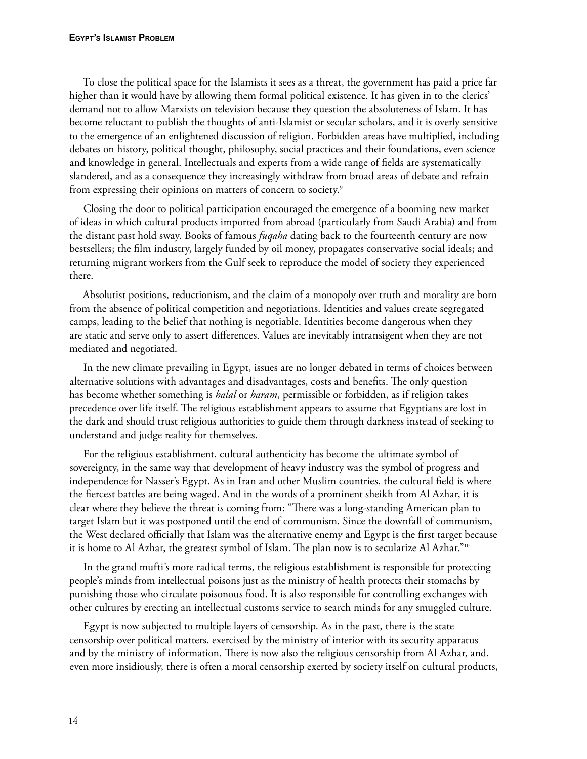To close the political space for the Islamists it sees as a threat, the government has paid a price far higher than it would have by allowing them formal political existence. It has given in to the clerics' demand not to allow Marxists on television because they question the absoluteness of Islam. It has become reluctant to publish the thoughts of anti-Islamist or secular scholars, and it is overly sensitive to the emergence of an enlightened discussion of religion. Forbidden areas have multiplied, including debates on history, political thought, philosophy, social practices and their foundations, even science and knowledge in general. Intellectuals and experts from a wide range of fields are systematically slandered, and as a consequence they increasingly withdraw from broad areas of debate and refrain from expressing their opinions on matters of concern to society.<sup>9</sup>

Closing the door to political participation encouraged the emergence of a booming new market of ideas in which cultural products imported from abroad (particularly from Saudi Arabia) and from the distant past hold sway. Books of famous *fuqaha* dating back to the fourteenth century are now bestsellers; the film industry, largely funded by oil money, propagates conservative social ideals; and returning migrant workers from the Gulf seek to reproduce the model of society they experienced there.

Absolutist positions, reductionism, and the claim of a monopoly over truth and morality are born from the absence of political competition and negotiations. Identities and values create segregated camps, leading to the belief that nothing is negotiable. Identities become dangerous when they are static and serve only to assert differences. Values are inevitably intransigent when they are not mediated and negotiated.

In the new climate prevailing in Egypt, issues are no longer debated in terms of choices between alternative solutions with advantages and disadvantages, costs and benefits. The only question has become whether something is *halal* or *haram*, permissible or forbidden, as if religion takes precedence over life itself. The religious establishment appears to assume that Egyptians are lost in the dark and should trust religious authorities to guide them through darkness instead of seeking to understand and judge reality for themselves.

For the religious establishment, cultural authenticity has become the ultimate symbol of sovereignty, in the same way that development of heavy industry was the symbol of progress and independence for Nasser's Egypt. As in Iran and other Muslim countries, the cultural field is where the fiercest battles are being waged. And in the words of a prominent sheikh from Al Azhar, it is clear where they believe the threat is coming from: "There was a long-standing American plan to target Islam but it was postponed until the end of communism. Since the downfall of communism, the West declared officially that Islam was the alternative enemy and Egypt is the first target because it is home to Al Azhar, the greatest symbol of Islam. The plan now is to secularize Al Azhar."10

In the grand mufti's more radical terms, the religious establishment is responsible for protecting people's minds from intellectual poisons just as the ministry of health protects their stomachs by punishing those who circulate poisonous food. It is also responsible for controlling exchanges with other cultures by erecting an intellectual customs service to search minds for any smuggled culture.

Egypt is now subjected to multiple layers of censorship. As in the past, there is the state censorship over political matters, exercised by the ministry of interior with its security apparatus and by the ministry of information. There is now also the religious censorship from Al Azhar, and, even more insidiously, there is often a moral censorship exerted by society itself on cultural products,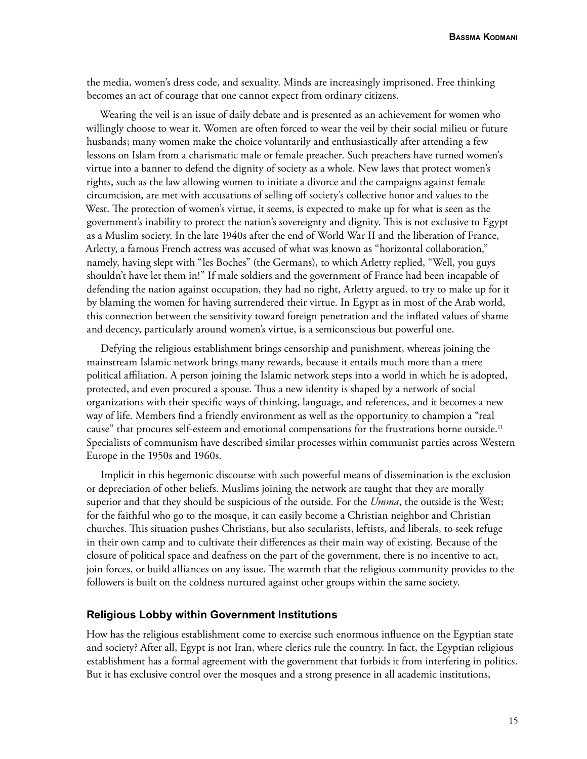the media, women's dress code, and sexuality. Minds are increasingly imprisoned. Free thinking becomes an act of courage that one cannot expect from ordinary citizens.

Wearing the veil is an issue of daily debate and is presented as an achievement for women who willingly choose to wear it. Women are often forced to wear the veil by their social milieu or future husbands; many women make the choice voluntarily and enthusiastically after attending a few lessons on Islam from a charismatic male or female preacher. Such preachers have turned women's virtue into a banner to defend the dignity of society as a whole. New laws that protect women's rights, such as the law allowing women to initiate a divorce and the campaigns against female circumcision, are met with accusations of selling off society's collective honor and values to the West. The protection of women's virtue, it seems, is expected to make up for what is seen as the government's inability to protect the nation's sovereignty and dignity. This is not exclusive to Egypt as a Muslim society. In the late 1940s after the end of World War II and the liberation of France, Arletty, a famous French actress was accused of what was known as "horizontal collaboration," namely, having slept with "les Boches" (the Germans), to which Arletty replied, "Well, you guys shouldn't have let them in!" If male soldiers and the government of France had been incapable of defending the nation against occupation, they had no right, Arletty argued, to try to make up for it by blaming the women for having surrendered their virtue. In Egypt as in most of the Arab world, this connection between the sensitivity toward foreign penetration and the inflated values of shame and decency, particularly around women's virtue, is a semiconscious but powerful one.

Defying the religious establishment brings censorship and punishment, whereas joining the mainstream Islamic network brings many rewards, because it entails much more than a mere political affiliation. A person joining the Islamic network steps into a world in which he is adopted, protected, and even procured a spouse. Thus a new identity is shaped by a network of social organizations with their specific ways of thinking, language, and references, and it becomes a new way of life. Members find a friendly environment as well as the opportunity to champion a "real cause" that procures self-esteem and emotional compensations for the frustrations borne outside.<sup>11</sup> Specialists of communism have described similar processes within communist parties across Western Europe in the 1950s and 1960s.

Implicit in this hegemonic discourse with such powerful means of dissemination is the exclusion or depreciation of other beliefs. Muslims joining the network are taught that they are morally superior and that they should be suspicious of the outside. For the *Umma*, the outside is the West; for the faithful who go to the mosque, it can easily become a Christian neighbor and Christian churches. This situation pushes Christians, but also secularists, leftists, and liberals, to seek refuge in their own camp and to cultivate their differences as their main way of existing. Because of the closure of political space and deafness on the part of the government, there is no incentive to act, join forces, or build alliances on any issue. The warmth that the religious community provides to the followers is built on the coldness nurtured against other groups within the same society.

### **Religious Lobby within Government Institutions**

How has the religious establishment come to exercise such enormous influence on the Egyptian state and society? After all, Egypt is not Iran, where clerics rule the country. In fact, the Egyptian religious establishment has a formal agreement with the government that forbids it from interfering in politics. But it has exclusive control over the mosques and a strong presence in all academic institutions,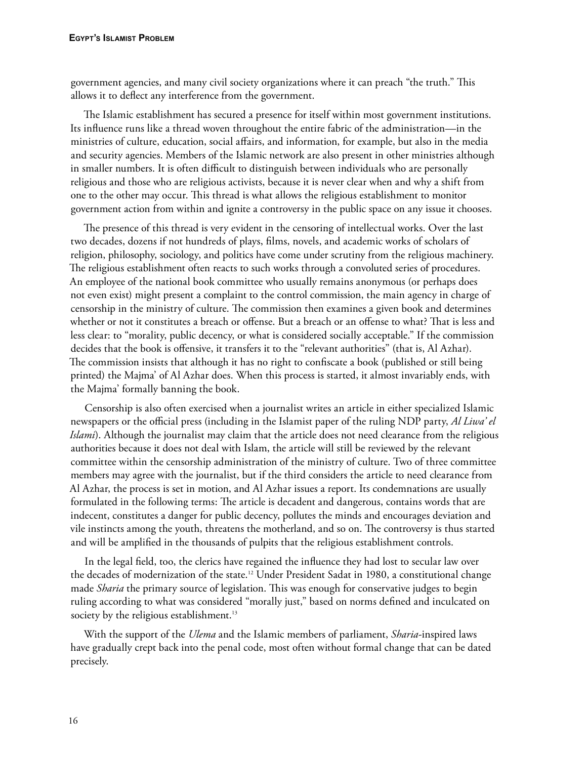government agencies, and many civil society organizations where it can preach "the truth." This allows it to deflect any interference from the government.

The Islamic establishment has secured a presence for itself within most government institutions. Its influence runs like a thread woven throughout the entire fabric of the administration—in the ministries of culture, education, social affairs, and information, for example, but also in the media and security agencies. Members of the Islamic network are also present in other ministries although in smaller numbers. It is often difficult to distinguish between individuals who are personally religious and those who are religious activists, because it is never clear when and why a shift from one to the other may occur. This thread is what allows the religious establishment to monitor government action from within and ignite a controversy in the public space on any issue it chooses.

The presence of this thread is very evident in the censoring of intellectual works. Over the last two decades, dozens if not hundreds of plays, films, novels, and academic works of scholars of religion, philosophy, sociology, and politics have come under scrutiny from the religious machinery. The religious establishment often reacts to such works through a convoluted series of procedures. An employee of the national book committee who usually remains anonymous (or perhaps does not even exist) might present a complaint to the control commission, the main agency in charge of censorship in the ministry of culture. The commission then examines a given book and determines whether or not it constitutes a breach or offense. But a breach or an offense to what? That is less and less clear: to "morality, public decency, or what is considered socially acceptable." If the commission decides that the book is offensive, it transfers it to the "relevant authorities" (that is, Al Azhar). The commission insists that although it has no right to confiscate a book (published or still being printed) the Majma' of Al Azhar does. When this process is started, it almost invariably ends, with the Majma' formally banning the book.

Censorship is also often exercised when a journalist writes an article in either specialized Islamic newspapers or the official press (including in the Islamist paper of the ruling NDP party, *Al Liwa' el Islami*). Although the journalist may claim that the article does not need clearance from the religious authorities because it does not deal with Islam, the article will still be reviewed by the relevant committee within the censorship administration of the ministry of culture. Two of three committee members may agree with the journalist, but if the third considers the article to need clearance from Al Azhar, the process is set in motion, and Al Azhar issues a report. Its condemnations are usually formulated in the following terms: The article is decadent and dangerous, contains words that are indecent, constitutes a danger for public decency, pollutes the minds and encourages deviation and vile instincts among the youth, threatens the motherland, and so on. The controversy is thus started and will be amplified in the thousands of pulpits that the religious establishment controls.

In the legal field, too, the clerics have regained the influence they had lost to secular law over the decades of modernization of the state.12 Under President Sadat in 1980, a constitutional change made *Sharia* the primary source of legislation. This was enough for conservative judges to begin ruling according to what was considered "morally just," based on norms defined and inculcated on society by the religious establishment.<sup>13</sup>

With the support of the *Ulema* and the Islamic members of parliament, *Sharia*-inspired laws have gradually crept back into the penal code, most often without formal change that can be dated precisely.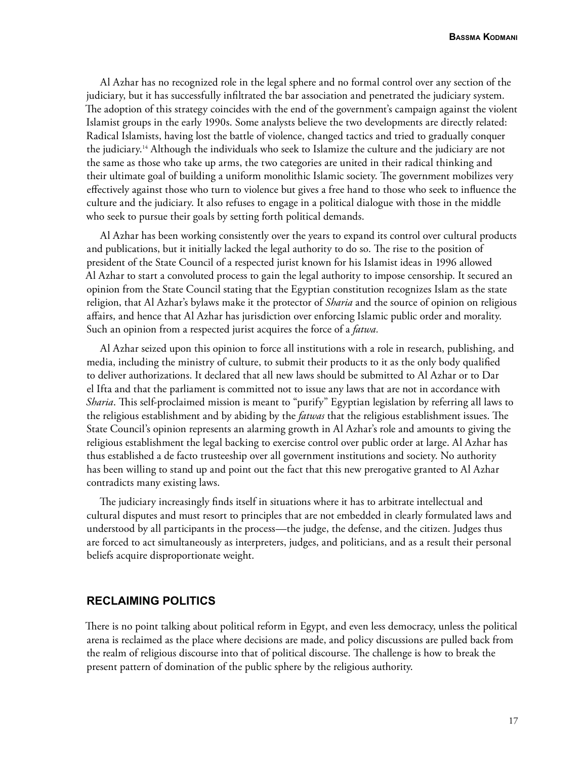Al Azhar has no recognized role in the legal sphere and no formal control over any section of the judiciary, but it has successfully infiltrated the bar association and penetrated the judiciary system. The adoption of this strategy coincides with the end of the government's campaign against the violent Islamist groups in the early 1990s. Some analysts believe the two developments are directly related: Radical Islamists, having lost the battle of violence, changed tactics and tried to gradually conquer the judiciary.14 Although the individuals who seek to Islamize the culture and the judiciary are not the same as those who take up arms, the two categories are united in their radical thinking and their ultimate goal of building a uniform monolithic Islamic society. The government mobilizes very effectively against those who turn to violence but gives a free hand to those who seek to influence the culture and the judiciary. It also refuses to engage in a political dialogue with those in the middle who seek to pursue their goals by setting forth political demands.

Al Azhar has been working consistently over the years to expand its control over cultural products and publications, but it initially lacked the legal authority to do so. The rise to the position of president of the State Council of a respected jurist known for his Islamist ideas in 1996 allowed Al Azhar to start a convoluted process to gain the legal authority to impose censorship. It secured an opinion from the State Council stating that the Egyptian constitution recognizes Islam as the state religion, that Al Azhar's bylaws make it the protector of *Sharia* and the source of opinion on religious affairs, and hence that Al Azhar has jurisdiction over enforcing Islamic public order and morality. Such an opinion from a respected jurist acquires the force of a *fatwa.*

Al Azhar seized upon this opinion to force all institutions with a role in research, publishing, and media, including the ministry of culture, to submit their products to it as the only body qualified to deliver authorizations. It declared that all new laws should be submitted to Al Azhar or to Dar el Ifta and that the parliament is committed not to issue any laws that are not in accordance with *Sharia*. This self-proclaimed mission is meant to "purify" Egyptian legislation by referring all laws to the religious establishment and by abiding by the *fatwas* that the religious establishment issues. The State Council's opinion represents an alarming growth in Al Azhar's role and amounts to giving the religious establishment the legal backing to exercise control over public order at large. Al Azhar has thus established a de facto trusteeship over all government institutions and society. No authority has been willing to stand up and point out the fact that this new prerogative granted to Al Azhar contradicts many existing laws.

The judiciary increasingly finds itself in situations where it has to arbitrate intellectual and cultural disputes and must resort to principles that are not embedded in clearly formulated laws and understood by all participants in the process—the judge, the defense, and the citizen. Judges thus are forced to act simultaneously as interpreters, judges, and politicians, and as a result their personal beliefs acquire disproportionate weight.

## **RECLAIMING POLITICS**

There is no point talking about political reform in Egypt, and even less democracy, unless the political arena is reclaimed as the place where decisions are made, and policy discussions are pulled back from the realm of religious discourse into that of political discourse. The challenge is how to break the present pattern of domination of the public sphere by the religious authority.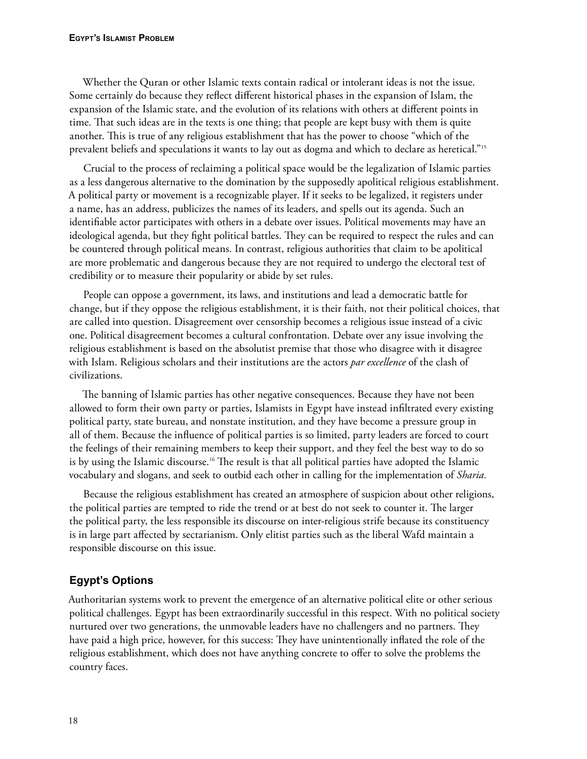Whether the Quran or other Islamic texts contain radical or intolerant ideas is not the issue. Some certainly do because they reflect different historical phases in the expansion of Islam, the expansion of the Islamic state, and the evolution of its relations with others at different points in time. That such ideas are in the texts is one thing; that people are kept busy with them is quite another. This is true of any religious establishment that has the power to choose "which of the prevalent beliefs and speculations it wants to lay out as dogma and which to declare as heretical."15

Crucial to the process of reclaiming a political space would be the legalization of Islamic parties as a less dangerous alternative to the domination by the supposedly apolitical religious establishment. A political party or movement is a recognizable player. If it seeks to be legalized, it registers under a name, has an address, publicizes the names of its leaders, and spells out its agenda. Such an identifiable actor participates with others in a debate over issues. Political movements may have an ideological agenda, but they fight political battles. They can be required to respect the rules and can be countered through political means. In contrast, religious authorities that claim to be apolitical are more problematic and dangerous because they are not required to undergo the electoral test of credibility or to measure their popularity or abide by set rules.

People can oppose a government, its laws, and institutions and lead a democratic battle for change, but if they oppose the religious establishment, it is their faith, not their political choices, that are called into question. Disagreement over censorship becomes a religious issue instead of a civic one. Political disagreement becomes a cultural confrontation. Debate over any issue involving the religious establishment is based on the absolutist premise that those who disagree with it disagree with Islam. Religious scholars and their institutions are the actors *par excellence* of the clash of civilizations.

The banning of Islamic parties has other negative consequences. Because they have not been allowed to form their own party or parties, Islamists in Egypt have instead infiltrated every existing political party, state bureau, and nonstate institution, and they have become a pressure group in all of them. Because the influence of political parties is so limited, party leaders are forced to court the feelings of their remaining members to keep their support, and they feel the best way to do so is by using the Islamic discourse.16 The result is that all political parties have adopted the Islamic vocabulary and slogans, and seek to outbid each other in calling for the implementation of *Sharia.*

Because the religious establishment has created an atmosphere of suspicion about other religions, the political parties are tempted to ride the trend or at best do not seek to counter it. The larger the political party, the less responsible its discourse on inter-religious strife because its constituency is in large part affected by sectarianism. Only elitist parties such as the liberal Wafd maintain a responsible discourse on this issue.

## **Egypt's Options**

Authoritarian systems work to prevent the emergence of an alternative political elite or other serious political challenges. Egypt has been extraordinarily successful in this respect. With no political society nurtured over two generations, the unmovable leaders have no challengers and no partners. They have paid a high price, however, for this success: They have unintentionally inflated the role of the religious establishment, which does not have anything concrete to offer to solve the problems the country faces.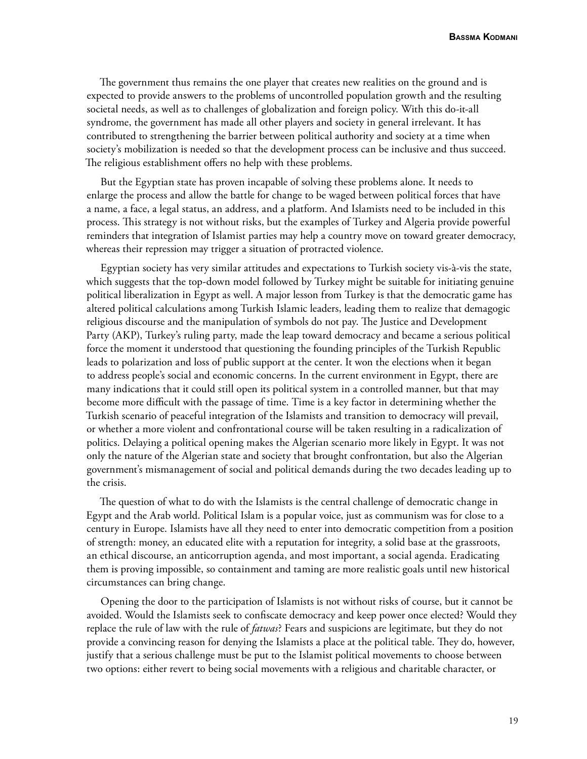The government thus remains the one player that creates new realities on the ground and is expected to provide answers to the problems of uncontrolled population growth and the resulting societal needs, as well as to challenges of globalization and foreign policy. With this do-it-all syndrome, the government has made all other players and society in general irrelevant. It has contributed to strengthening the barrier between political authority and society at a time when society's mobilization is needed so that the development process can be inclusive and thus succeed. The religious establishment offers no help with these problems.

But the Egyptian state has proven incapable of solving these problems alone. It needs to enlarge the process and allow the battle for change to be waged between political forces that have a name, a face, a legal status, an address, and a platform. And Islamists need to be included in this process. This strategy is not without risks, but the examples of Turkey and Algeria provide powerful reminders that integration of Islamist parties may help a country move on toward greater democracy, whereas their repression may trigger a situation of protracted violence.

Egyptian society has very similar attitudes and expectations to Turkish society vis-à-vis the state, which suggests that the top-down model followed by Turkey might be suitable for initiating genuine political liberalization in Egypt as well. A major lesson from Turkey is that the democratic game has altered political calculations among Turkish Islamic leaders, leading them to realize that demagogic religious discourse and the manipulation of symbols do not pay. The Justice and Development Party (AKP), Turkey's ruling party, made the leap toward democracy and became a serious political force the moment it understood that questioning the founding principles of the Turkish Republic leads to polarization and loss of public support at the center. It won the elections when it began to address people's social and economic concerns. In the current environment in Egypt, there are many indications that it could still open its political system in a controlled manner, but that may become more difficult with the passage of time. Time is a key factor in determining whether the Turkish scenario of peaceful integration of the Islamists and transition to democracy will prevail, or whether a more violent and confrontational course will be taken resulting in a radicalization of politics. Delaying a political opening makes the Algerian scenario more likely in Egypt. It was not only the nature of the Algerian state and society that brought confrontation, but also the Algerian government's mismanagement of social and political demands during the two decades leading up to the crisis.

The question of what to do with the Islamists is the central challenge of democratic change in Egypt and the Arab world. Political Islam is a popular voice, just as communism was for close to a century in Europe. Islamists have all they need to enter into democratic competition from a position of strength: money, an educated elite with a reputation for integrity, a solid base at the grassroots, an ethical discourse, an anticorruption agenda, and most important, a social agenda. Eradicating them is proving impossible, so containment and taming are more realistic goals until new historical circumstances can bring change.

Opening the door to the participation of Islamists is not without risks of course, but it cannot be avoided. Would the Islamists seek to confiscate democracy and keep power once elected? Would they replace the rule of law with the rule of *fatwas*? Fears and suspicions are legitimate, but they do not provide a convincing reason for denying the Islamists a place at the political table. They do, however, justify that a serious challenge must be put to the Islamist political movements to choose between two options: either revert to being social movements with a religious and charitable character, or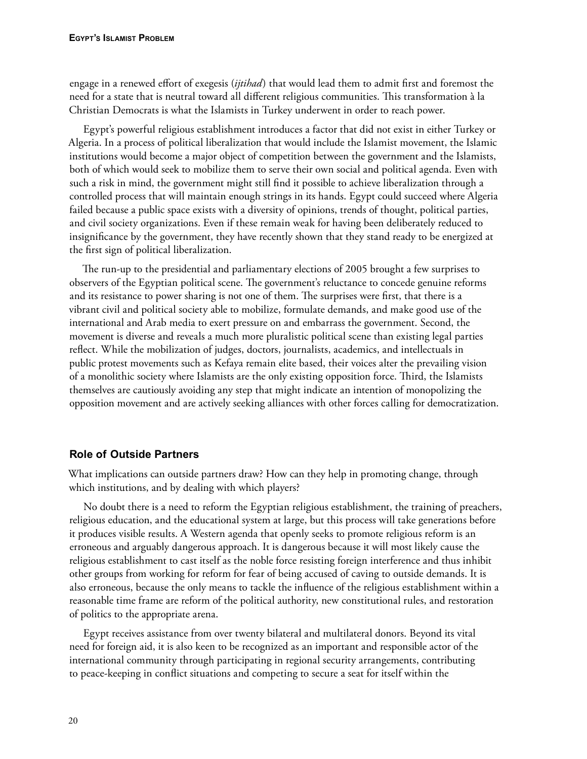engage in a renewed effort of exegesis (*ijtihad*) that would lead them to admit first and foremost the need for a state that is neutral toward all different religious communities. This transformation à la Christian Democrats is what the Islamists in Turkey underwent in order to reach power.

Egypt's powerful religious establishment introduces a factor that did not exist in either Turkey or Algeria. In a process of political liberalization that would include the Islamist movement, the Islamic institutions would become a major object of competition between the government and the Islamists, both of which would seek to mobilize them to serve their own social and political agenda. Even with such a risk in mind, the government might still find it possible to achieve liberalization through a controlled process that will maintain enough strings in its hands. Egypt could succeed where Algeria failed because a public space exists with a diversity of opinions, trends of thought, political parties, and civil society organizations. Even if these remain weak for having been deliberately reduced to insignificance by the government, they have recently shown that they stand ready to be energized at the first sign of political liberalization.

The run-up to the presidential and parliamentary elections of 2005 brought a few surprises to observers of the Egyptian political scene. The government's reluctance to concede genuine reforms and its resistance to power sharing is not one of them. The surprises were first, that there is a vibrant civil and political society able to mobilize, formulate demands, and make good use of the international and Arab media to exert pressure on and embarrass the government. Second, the movement is diverse and reveals a much more pluralistic political scene than existing legal parties reflect. While the mobilization of judges, doctors, journalists, academics, and intellectuals in public protest movements such as Kefaya remain elite based, their voices alter the prevailing vision of a monolithic society where Islamists are the only existing opposition force. Third, the Islamists themselves are cautiously avoiding any step that might indicate an intention of monopolizing the opposition movement and are actively seeking alliances with other forces calling for democratization.

## **Role of Outside Partners**

What implications can outside partners draw? How can they help in promoting change, through which institutions, and by dealing with which players?

No doubt there is a need to reform the Egyptian religious establishment, the training of preachers, religious education, and the educational system at large, but this process will take generations before it produces visible results. A Western agenda that openly seeks to promote religious reform is an erroneous and arguably dangerous approach. It is dangerous because it will most likely cause the religious establishment to cast itself as the noble force resisting foreign interference and thus inhibit other groups from working for reform for fear of being accused of caving to outside demands. It is also erroneous, because the only means to tackle the influence of the religious establishment within a reasonable time frame are reform of the political authority, new constitutional rules, and restoration of politics to the appropriate arena.

Egypt receives assistance from over twenty bilateral and multilateral donors. Beyond its vital need for foreign aid, it is also keen to be recognized as an important and responsible actor of the international community through participating in regional security arrangements, contributing to peace-keeping in conflict situations and competing to secure a seat for itself within the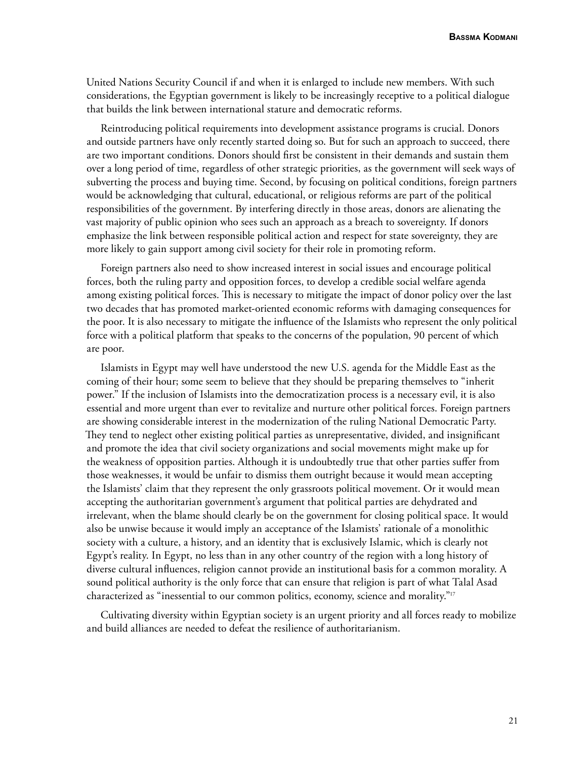United Nations Security Council if and when it is enlarged to include new members. With such considerations, the Egyptian government is likely to be increasingly receptive to a political dialogue that builds the link between international stature and democratic reforms.

Reintroducing political requirements into development assistance programs is crucial. Donors and outside partners have only recently started doing so. But for such an approach to succeed, there are two important conditions. Donors should first be consistent in their demands and sustain them over a long period of time, regardless of other strategic priorities, as the government will seek ways of subverting the process and buying time. Second, by focusing on political conditions, foreign partners would be acknowledging that cultural, educational, or religious reforms are part of the political responsibilities of the government. By interfering directly in those areas, donors are alienating the vast majority of public opinion who sees such an approach as a breach to sovereignty. If donors emphasize the link between responsible political action and respect for state sovereignty, they are more likely to gain support among civil society for their role in promoting reform.

Foreign partners also need to show increased interest in social issues and encourage political forces, both the ruling party and opposition forces, to develop a credible social welfare agenda among existing political forces. This is necessary to mitigate the impact of donor policy over the last two decades that has promoted market-oriented economic reforms with damaging consequences for the poor. It is also necessary to mitigate the influence of the Islamists who represent the only political force with a political platform that speaks to the concerns of the population, 90 percent of which are poor.

Islamists in Egypt may well have understood the new U.S. agenda for the Middle East as the coming of their hour; some seem to believe that they should be preparing themselves to "inherit power." If the inclusion of Islamists into the democratization process is a necessary evil, it is also essential and more urgent than ever to revitalize and nurture other political forces. Foreign partners are showing considerable interest in the modernization of the ruling National Democratic Party. They tend to neglect other existing political parties as unrepresentative, divided, and insignificant and promote the idea that civil society organizations and social movements might make up for the weakness of opposition parties. Although it is undoubtedly true that other parties suffer from those weaknesses, it would be unfair to dismiss them outright because it would mean accepting the Islamists' claim that they represent the only grassroots political movement. Or it would mean accepting the authoritarian government's argument that political parties are dehydrated and irrelevant, when the blame should clearly be on the government for closing political space. It would also be unwise because it would imply an acceptance of the Islamists' rationale of a monolithic society with a culture, a history, and an identity that is exclusively Islamic, which is clearly not Egypt's reality. In Egypt, no less than in any other country of the region with a long history of diverse cultural influences, religion cannot provide an institutional basis for a common morality. A sound political authority is the only force that can ensure that religion is part of what Talal Asad characterized as "inessential to our common politics, economy, science and morality."17

Cultivating diversity within Egyptian society is an urgent priority and all forces ready to mobilize and build alliances are needed to defeat the resilience of authoritarianism.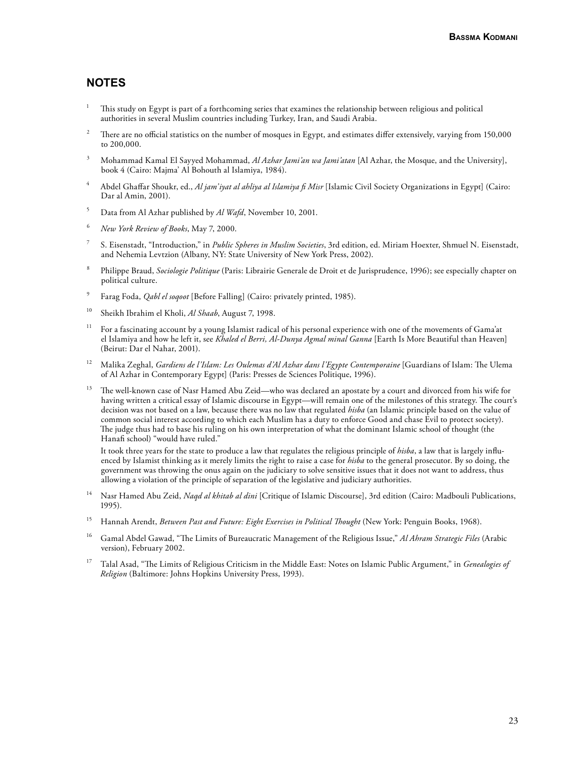## **NOTES**

- 1 This study on Egypt is part of a forthcoming series that examines the relationship between religious and political authorities in several Muslim countries including Turkey, Iran, and Saudi Arabia.
- 2 There are no official statistics on the number of mosques in Egypt, and estimates differ extensively, varying from 150,000 to 200,000.
- 3 Mohammad Kamal El Sayyed Mohammad, *Al Azhar Jami'an wa Jami'atan* [Al Azhar, the Mosque, and the University], book 4 (Cairo: Majma' Al Bohouth al Islamiya, 1984).
- 4 Abdel Ghaffar Shoukr, ed., *Al jam'iyat al ahliya al Islamiya fi Misr* [Islamic Civil Society Organizations in Egypt] (Cairo: Dar al Amin, 2001).
- 5 Data from Al Azhar published by *Al Wafd*, November 10, 2001.
- 6 *New York Review of Books*, May 7, 2000.
- 7 S. Eisenstadt, "Introduction," in *Public Spheres in Muslim Societies*, 3rd edition, ed. Miriam Hoexter, Shmuel N. Eisenstadt, and Nehemia Levtzion (Albany, NY: State University of New York Press, 2002).
- 8 Philippe Braud, *Sociologie Politique* (Paris: Librairie Generale de Droit et de Jurisprudence, 1996); see especially chapter on political culture.
- 9 Farag Foda, *Qabl el soqoot* [Before Falling] (Cairo: privately printed, 1985).
- 10 Sheikh Ibrahim el Kholi, *Al Shaab*, August 7, 1998.
- <sup>11</sup> For a fascinating account by a young Islamist radical of his personal experience with one of the movements of Gama'at el Islamiya and how he left it, see *Khaled el Berri, Al-Dunya Agmal minal Ganna* [Earth Is More Beautiful than Heaven] (Beirut: Dar el Nahar, 2001).
- 12 Malika Zeghal, *Gardiens de l'Islam: Les Oulemas d'Al Azhar dans l'Egypte Contemporaine* [Guardians of Islam: The Ulema of Al Azhar in Contemporary Egypt] (Paris: Presses de Sciences Politique, 1996).
- 13 The well-known case of Nasr Hamed Abu Zeid—who was declared an apostate by a court and divorced from his wife for having written a critical essay of Islamic discourse in Egypt—will remain one of the milestones of this strategy. The court's decision was not based on a law, because there was no law that regulated *hisba* (an Islamic principle based on the value of common social interest according to which each Muslim has a duty to enforce Good and chase Evil to protect society). The judge thus had to base his ruling on his own interpretation of what the dominant Islamic school of thought (the Hanafi school) "would have ruled."

 It took three years for the state to produce a law that regulates the religious principle of *hisba*, a law that is largely influenced by Islamist thinking as it merely limits the right to raise a case for *hisba* to the general prosecutor. By so doing, the government was throwing the onus again on the judiciary to solve sensitive issues that it does not want to address, thus allowing a violation of the principle of separation of the legislative and judiciary authorities.

- 14 Nasr Hamed Abu Zeid, *Naqd al khitab al dini* [Critique of Islamic Discourse], 3rd edition (Cairo: Madbouli Publications, 1995).
- <sup>15</sup> Hannah Arendt, *Between Past and Future: Eight Exercises in Political Thought* (New York: Penguin Books, 1968).
- 16 Gamal Abdel Gawad, "The Limits of Bureaucratic Management of the Religious Issue," *Al Ahram Strategic Files* (Arabic version), February 2002.
- 17 Talal Asad, "The Limits of Religious Criticism in the Middle East: Notes on Islamic Public Argument," in *Genealogies of Religion* (Baltimore: Johns Hopkins University Press, 1993).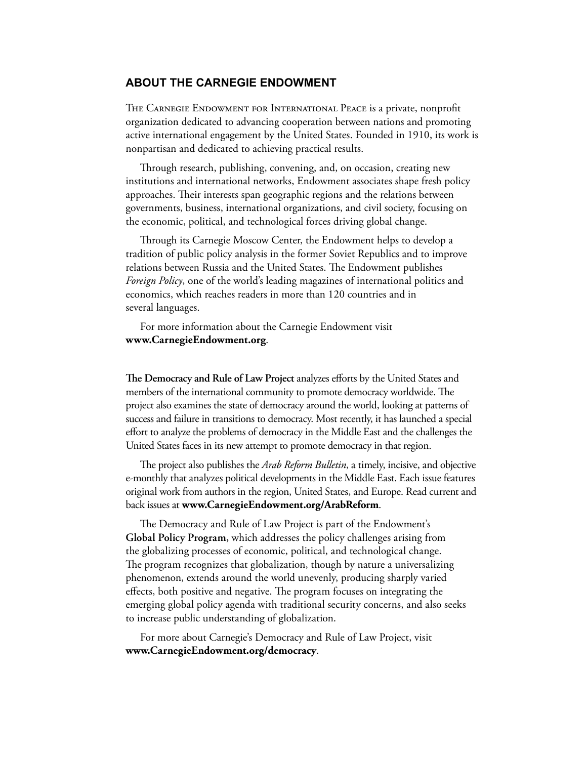## **ABOUT THE CARNEGIE ENDOWMENT**

THE CARNEGIE ENDOWMENT FOR INTERNATIONAL PEACE is a private, nonprofit organization dedicated to advancing cooperation between nations and promoting active international engagement by the United States. Founded in 1910, its work is nonpartisan and dedicated to achieving practical results.

Through research, publishing, convening, and, on occasion, creating new institutions and international networks, Endowment associates shape fresh policy approaches. Their interests span geographic regions and the relations between governments, business, international organizations, and civil society, focusing on the economic, political, and technological forces driving global change.

Through its Carnegie Moscow Center, the Endowment helps to develop a tradition of public policy analysis in the former Soviet Republics and to improve relations between Russia and the United States. The Endowment publishes *Foreign Policy*, one of the world's leading magazines of international politics and economics, which reaches readers in more than 120 countries and in several languages.

For more information about the Carnegie Endowment visit **www.CarnegieEndowment.org**.

**The Democracy and Rule of Law Project** analyzes efforts by the United States and members of the international community to promote democracy worldwide. The project also examines the state of democracy around the world, looking at patterns of success and failure in transitions to democracy. Most recently, it has launched a special effort to analyze the problems of democracy in the Middle East and the challenges the United States faces in its new attempt to promote democracy in that region.

The project also publishes the *Arab Reform Bulletin*, a timely, incisive, and objective e-monthly that analyzes political developments in the Middle East. Each issue features original work from authors in the region, United States, and Europe. Read current and back issues at **www.CarnegieEndowment.org/ArabReform**.

The Democracy and Rule of Law Project is part of the Endowment's **Global Policy Program,** which addresses the policy challenges arising from the globalizing processes of economic, political, and technological change. The program recognizes that globalization, though by nature a universalizing phenomenon, extends around the world unevenly, producing sharply varied effects, both positive and negative. The program focuses on integrating the emerging global policy agenda with traditional security concerns, and also seeks to increase public understanding of globalization.

For more about Carnegie's Democracy and Rule of Law Project, visit **www.CarnegieEndowment.org/democracy**.